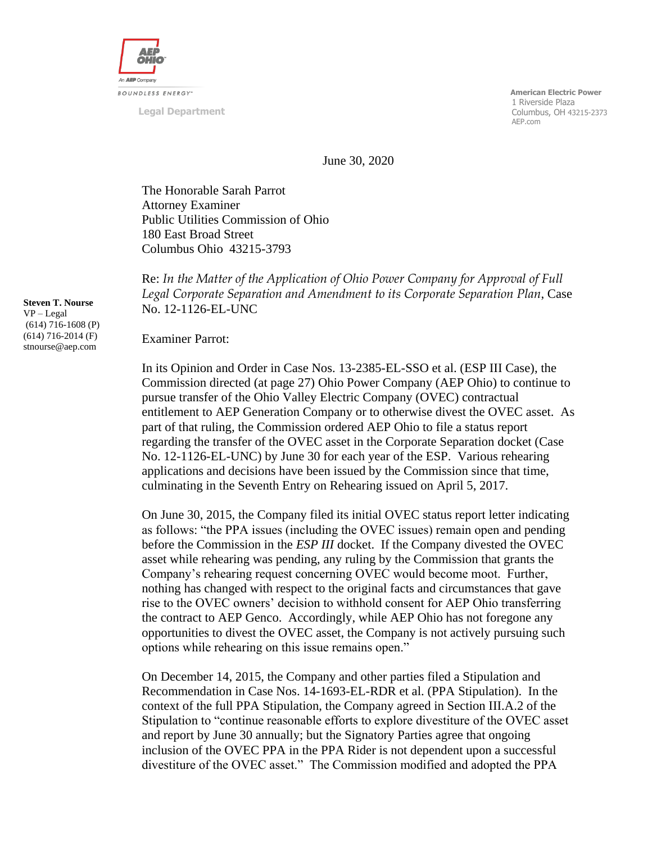

**Legal Department**

 **American Electric Power** 1 Riverside Plaza Columbus, OH 43215-2373 AEP.com

June 30, 2020

The Honorable Sarah Parrot Attorney Examiner Public Utilities Commission of Ohio 180 East Broad Street Columbus Ohio 43215-3793

Re: *In the Matter of the Application of Ohio Power Company for Approval of Full Legal Corporate Separation and Amendment to its Corporate Separation Plan*, Case No. 12-1126-EL-UNC

Examiner Parrot:

In its Opinion and Order in Case Nos. 13-2385-EL-SSO et al. (ESP III Case), the Commission directed (at page 27) Ohio Power Company (AEP Ohio) to continue to pursue transfer of the Ohio Valley Electric Company (OVEC) contractual entitlement to AEP Generation Company or to otherwise divest the OVEC asset. As part of that ruling, the Commission ordered AEP Ohio to file a status report regarding the transfer of the OVEC asset in the Corporate Separation docket (Case No. 12-1126-EL-UNC) by June 30 for each year of the ESP. Various rehearing applications and decisions have been issued by the Commission since that time, culminating in the Seventh Entry on Rehearing issued on April 5, 2017.

On June 30, 2015, the Company filed its initial OVEC status report letter indicating as follows: "the PPA issues (including the OVEC issues) remain open and pending before the Commission in the *ESP III* docket. If the Company divested the OVEC asset while rehearing was pending, any ruling by the Commission that grants the Company's rehearing request concerning OVEC would become moot. Further, nothing has changed with respect to the original facts and circumstances that gave rise to the OVEC owners' decision to withhold consent for AEP Ohio transferring the contract to AEP Genco. Accordingly, while AEP Ohio has not foregone any opportunities to divest the OVEC asset, the Company is not actively pursuing such options while rehearing on this issue remains open."

On December 14, 2015, the Company and other parties filed a Stipulation and Recommendation in Case Nos. 14-1693-EL-RDR et al. (PPA Stipulation). In the context of the full PPA Stipulation, the Company agreed in Section III.A.2 of the Stipulation to "continue reasonable efforts to explore divestiture of the OVEC asset and report by June 30 annually; but the Signatory Parties agree that ongoing inclusion of the OVEC PPA in the PPA Rider is not dependent upon a successful divestiture of the OVEC asset." The Commission modified and adopted the PPA

**Steven T. Nourse** VP – Legal (614) 716-1608 (P) (614) 716-2014 (F) stnourse@aep.com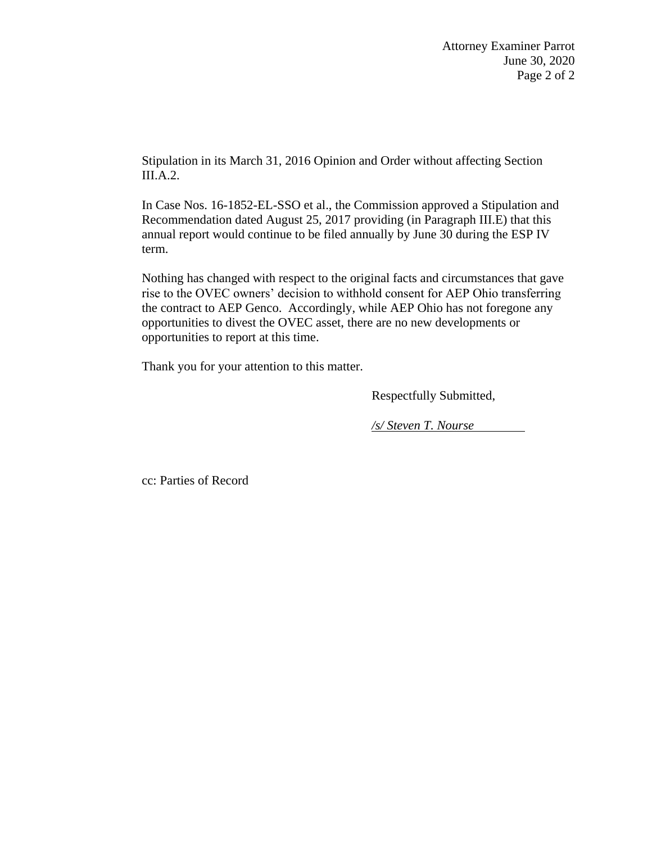Stipulation in its March 31, 2016 Opinion and Order without affecting Section III.A.2.

In Case Nos. 16-1852-EL-SSO et al., the Commission approved a Stipulation and Recommendation dated August 25, 2017 providing (in Paragraph III.E) that this annual report would continue to be filed annually by June 30 during the ESP IV term.

Nothing has changed with respect to the original facts and circumstances that gave rise to the OVEC owners' decision to withhold consent for AEP Ohio transferring the contract to AEP Genco. Accordingly, while AEP Ohio has not foregone any opportunities to divest the OVEC asset, there are no new developments or opportunities to report at this time.

Thank you for your attention to this matter.

Respectfully Submitted,

*/s/ Steven T. Nourse*

cc: Parties of Record